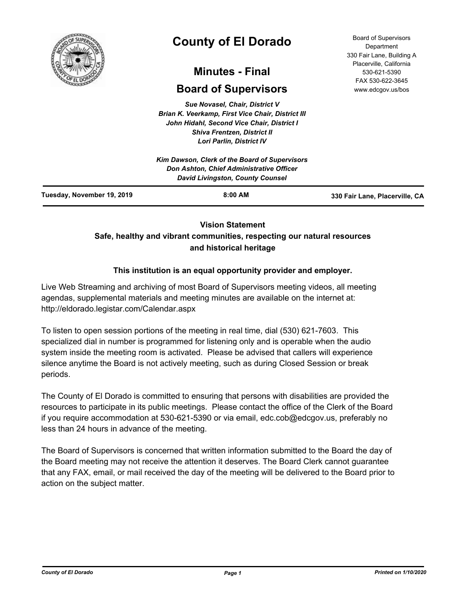

# **County of El Dorado**

# **Minutes - Final**

# **Board of Supervisors**

*Sue Novasel, Chair, District V Brian K. Veerkamp, First Vice Chair, District III John Hidahl, Second Vice Chair, District I Shiva Frentzen, District II Lori Parlin, District IV*

|                            | Kim Dawson, Clerk of the Board of Supervisors<br><b>Don Ashton, Chief Administrative Officer</b><br><b>David Livingston, County Counsel</b> |                                |
|----------------------------|---------------------------------------------------------------------------------------------------------------------------------------------|--------------------------------|
| Tuesday, November 19, 2019 | $8:00$ AM                                                                                                                                   | 330 Fair Lane, Placerville, CA |

# **Vision Statement**

# **Safe, healthy and vibrant communities, respecting our natural resources and historical heritage**

# **This institution is an equal opportunity provider and employer.**

Live Web Streaming and archiving of most Board of Supervisors meeting videos, all meeting agendas, supplemental materials and meeting minutes are available on the internet at: http://eldorado.legistar.com/Calendar.aspx

To listen to open session portions of the meeting in real time, dial (530) 621-7603. This specialized dial in number is programmed for listening only and is operable when the audio system inside the meeting room is activated. Please be advised that callers will experience silence anytime the Board is not actively meeting, such as during Closed Session or break periods.

The County of El Dorado is committed to ensuring that persons with disabilities are provided the resources to participate in its public meetings. Please contact the office of the Clerk of the Board if you require accommodation at 530-621-5390 or via email, edc.cob@edcgov.us, preferably no less than 24 hours in advance of the meeting.

The Board of Supervisors is concerned that written information submitted to the Board the day of the Board meeting may not receive the attention it deserves. The Board Clerk cannot guarantee that any FAX, email, or mail received the day of the meeting will be delivered to the Board prior to action on the subject matter.

Board of Supervisors Department 330 Fair Lane, Building A Placerville, California 530-621-5390 FAX 530-622-3645 www.edcgov.us/bos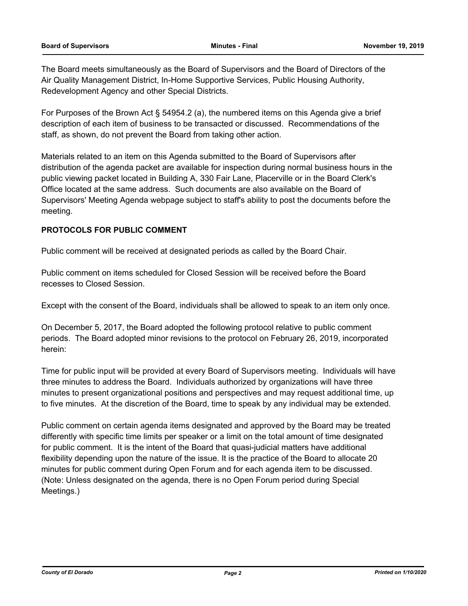The Board meets simultaneously as the Board of Supervisors and the Board of Directors of the Air Quality Management District, In-Home Supportive Services, Public Housing Authority, Redevelopment Agency and other Special Districts.

For Purposes of the Brown Act § 54954.2 (a), the numbered items on this Agenda give a brief description of each item of business to be transacted or discussed. Recommendations of the staff, as shown, do not prevent the Board from taking other action.

Materials related to an item on this Agenda submitted to the Board of Supervisors after distribution of the agenda packet are available for inspection during normal business hours in the public viewing packet located in Building A, 330 Fair Lane, Placerville or in the Board Clerk's Office located at the same address. Such documents are also available on the Board of Supervisors' Meeting Agenda webpage subject to staff's ability to post the documents before the meeting.

# **PROTOCOLS FOR PUBLIC COMMENT**

Public comment will be received at designated periods as called by the Board Chair.

Public comment on items scheduled for Closed Session will be received before the Board recesses to Closed Session.

Except with the consent of the Board, individuals shall be allowed to speak to an item only once.

On December 5, 2017, the Board adopted the following protocol relative to public comment periods. The Board adopted minor revisions to the protocol on February 26, 2019, incorporated herein:

Time for public input will be provided at every Board of Supervisors meeting. Individuals will have three minutes to address the Board. Individuals authorized by organizations will have three minutes to present organizational positions and perspectives and may request additional time, up to five minutes. At the discretion of the Board, time to speak by any individual may be extended.

Public comment on certain agenda items designated and approved by the Board may be treated differently with specific time limits per speaker or a limit on the total amount of time designated for public comment. It is the intent of the Board that quasi-judicial matters have additional flexibility depending upon the nature of the issue. It is the practice of the Board to allocate 20 minutes for public comment during Open Forum and for each agenda item to be discussed. (Note: Unless designated on the agenda, there is no Open Forum period during Special Meetings.)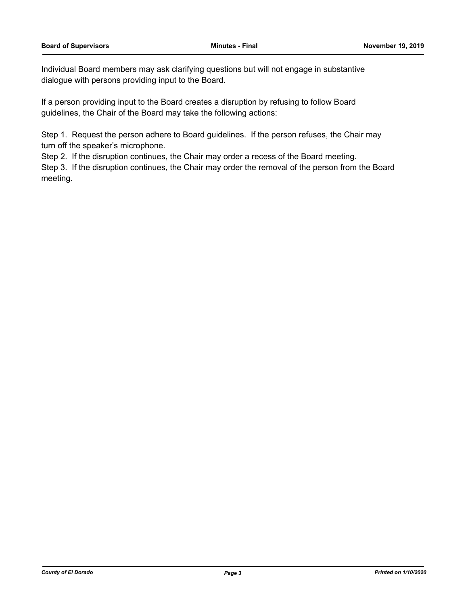Individual Board members may ask clarifying questions but will not engage in substantive dialogue with persons providing input to the Board.

If a person providing input to the Board creates a disruption by refusing to follow Board guidelines, the Chair of the Board may take the following actions:

Step 1. Request the person adhere to Board guidelines. If the person refuses, the Chair may turn off the speaker's microphone.

Step 2. If the disruption continues, the Chair may order a recess of the Board meeting.

Step 3. If the disruption continues, the Chair may order the removal of the person from the Board meeting.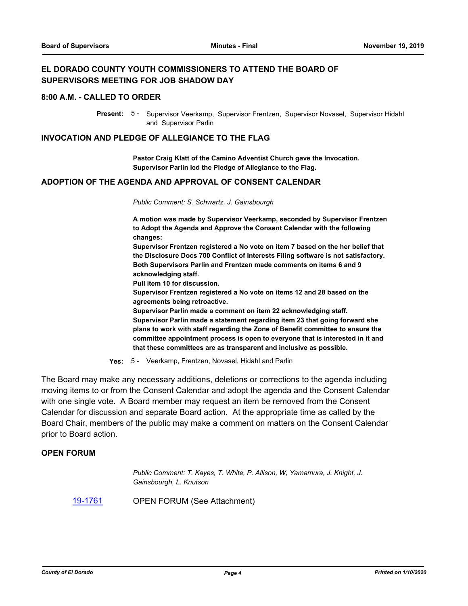# **EL DORADO COUNTY YOUTH COMMISSIONERS TO ATTEND THE BOARD OF SUPERVISORS MEETING FOR JOB SHADOW DAY**

#### **8:00 A.M. - CALLED TO ORDER**

Present: 5 - Supervisor Veerkamp, Supervisor Frentzen, Supervisor Novasel, Supervisor Hidahl and Supervisor Parlin

#### **INVOCATION AND PLEDGE OF ALLEGIANCE TO THE FLAG**

**Pastor Craig Klatt of the Camino Adventist Church gave the Invocation. Supervisor Parlin led the Pledge of Allegiance to the Flag.**

#### **ADOPTION OF THE AGENDA AND APPROVAL OF CONSENT CALENDAR**

*Public Comment: S. Schwartz, J. Gainsbourgh*

**A motion was made by Supervisor Veerkamp, seconded by Supervisor Frentzen to Adopt the Agenda and Approve the Consent Calendar with the following changes:**

**Supervisor Frentzen registered a No vote on item 7 based on the her belief that the Disclosure Docs 700 Conflict of Interests Filing software is not satisfactory. Both Supervisors Parlin and Frentzen made comments on items 6 and 9 acknowledging staff.**

**Pull item 10 for discussion.**

**Supervisor Frentzen registered a No vote on items 12 and 28 based on the agreements being retroactive.**

**Supervisor Parlin made a comment on item 22 acknowledging staff.**

**Supervisor Parlin made a statement regarding item 23 that going forward she plans to work with staff regarding the Zone of Benefit committee to ensure the committee appointment process is open to everyone that is interested in it and that these committees are as transparent and inclusive as possible.**

**Yes:** 5 - Veerkamp, Frentzen, Novasel, Hidahl and Parlin

The Board may make any necessary additions, deletions or corrections to the agenda including moving items to or from the Consent Calendar and adopt the agenda and the Consent Calendar with one single vote. A Board member may request an item be removed from the Consent Calendar for discussion and separate Board action. At the appropriate time as called by the Board Chair, members of the public may make a comment on matters on the Consent Calendar prior to Board action.

# **OPEN FORUM**

*Public Comment: T. Kayes, T. White, P. Allison, W, Yamamura, J. Knight, J. Gainsbourgh, L. Knutson*

[19-1761](http://eldorado.legistar.com/gateway.aspx?m=l&id=/matter.aspx?key=27085) OPEN FORUM (See Attachment)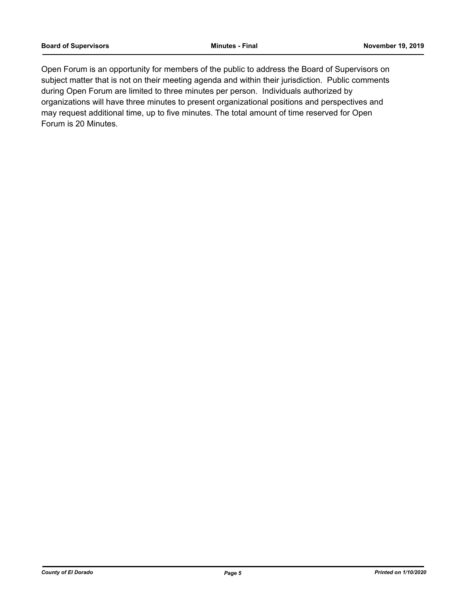Open Forum is an opportunity for members of the public to address the Board of Supervisors on subject matter that is not on their meeting agenda and within their jurisdiction. Public comments during Open Forum are limited to three minutes per person. Individuals authorized by organizations will have three minutes to present organizational positions and perspectives and may request additional time, up to five minutes. The total amount of time reserved for Open Forum is 20 Minutes.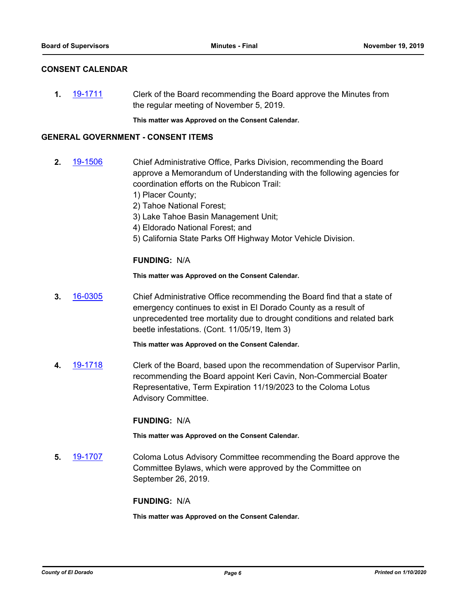### **CONSENT CALENDAR**

**1.** [19-1711](http://eldorado.legistar.com/gateway.aspx?m=l&id=/matter.aspx?key=27035) Clerk of the Board recommending the Board approve the Minutes from the regular meeting of November 5, 2019.

**This matter was Approved on the Consent Calendar.**

### **GENERAL GOVERNMENT - CONSENT ITEMS**

- **2.** [19-1506](http://eldorado.legistar.com/gateway.aspx?m=l&id=/matter.aspx?key=26828) Chief Administrative Office, Parks Division, recommending the Board approve a Memorandum of Understanding with the following agencies for coordination efforts on the Rubicon Trail:
	- 1) Placer County;
	- 2) Tahoe National Forest;
	- 3) Lake Tahoe Basin Management Unit;
	- 4) Eldorado National Forest; and
	- 5) California State Parks Off Highway Motor Vehicle Division.

# **FUNDING:** N/A

**This matter was Approved on the Consent Calendar.**

**3.** [16-0305](http://eldorado.legistar.com/gateway.aspx?m=l&id=/matter.aspx?key=20961) Chief Administrative Office recommending the Board find that a state of emergency continues to exist in El Dorado County as a result of unprecedented tree mortality due to drought conditions and related bark beetle infestations. (Cont. 11/05/19, Item 3)

**This matter was Approved on the Consent Calendar.**

**4.** [19-1718](http://eldorado.legistar.com/gateway.aspx?m=l&id=/matter.aspx?key=27042) Clerk of the Board, based upon the recommendation of Supervisor Parlin, recommending the Board appoint Keri Cavin, Non-Commercial Boater Representative, Term Expiration 11/19/2023 to the Coloma Lotus Advisory Committee.

#### **FUNDING:** N/A

**This matter was Approved on the Consent Calendar.**

**5.** [19-1707](http://eldorado.legistar.com/gateway.aspx?m=l&id=/matter.aspx?key=27031) Coloma Lotus Advisory Committee recommending the Board approve the Committee Bylaws, which were approved by the Committee on September 26, 2019.

#### **FUNDING:** N/A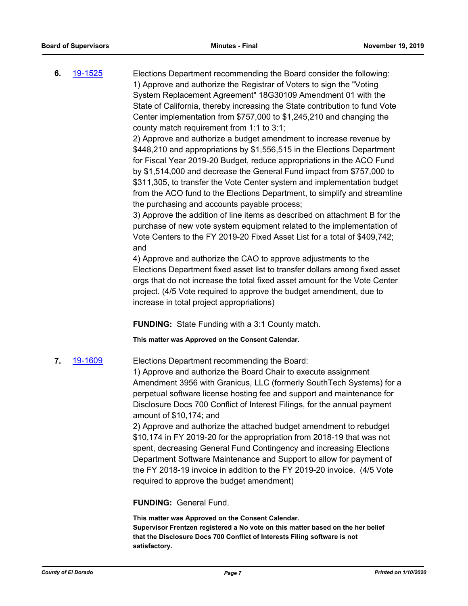**6.** [19-1525](http://eldorado.legistar.com/gateway.aspx?m=l&id=/matter.aspx?key=26847) Elections Department recommending the Board consider the following: 1) Approve and authorize the Registrar of Voters to sign the "Voting System Replacement Agreement" 18G30109 Amendment 01 with the State of California, thereby increasing the State contribution to fund Vote Center implementation from \$757,000 to \$1,245,210 and changing the county match requirement from 1:1 to 3:1;

> 2) Approve and authorize a budget amendment to increase revenue by \$448,210 and appropriations by \$1,556,515 in the Elections Department for Fiscal Year 2019-20 Budget, reduce appropriations in the ACO Fund by \$1,514,000 and decrease the General Fund impact from \$757,000 to \$311,305, to transfer the Vote Center system and implementation budget from the ACO fund to the Elections Department, to simplify and streamline the purchasing and accounts payable process;

> 3) Approve the addition of line items as described on attachment B for the purchase of new vote system equipment related to the implementation of Vote Centers to the FY 2019-20 Fixed Asset List for a total of \$409,742; and

> 4) Approve and authorize the CAO to approve adjustments to the Elections Department fixed asset list to transfer dollars among fixed asset orgs that do not increase the total fixed asset amount for the Vote Center project. (4/5 Vote required to approve the budget amendment, due to increase in total project appropriations)

**FUNDING:** State Funding with a 3:1 County match.

**This matter was Approved on the Consent Calendar.**

**7.** [19-1609](http://eldorado.legistar.com/gateway.aspx?m=l&id=/matter.aspx?key=26933) Elections Department recommending the Board:

1) Approve and authorize the Board Chair to execute assignment Amendment 3956 with Granicus, LLC (formerly SouthTech Systems) for a perpetual software license hosting fee and support and maintenance for Disclosure Docs 700 Conflict of Interest Filings, for the annual payment amount of \$10,174; and

2) Approve and authorize the attached budget amendment to rebudget \$10,174 in FY 2019-20 for the appropriation from 2018-19 that was not spent, decreasing General Fund Contingency and increasing Elections Department Software Maintenance and Support to allow for payment of the FY 2018-19 invoice in addition to the FY 2019-20 invoice. (4/5 Vote required to approve the budget amendment)

**FUNDING:** General Fund.

**This matter was Approved on the Consent Calendar. Supervisor Frentzen registered a No vote on this matter based on the her belief that the Disclosure Docs 700 Conflict of Interests Filing software is not satisfactory.**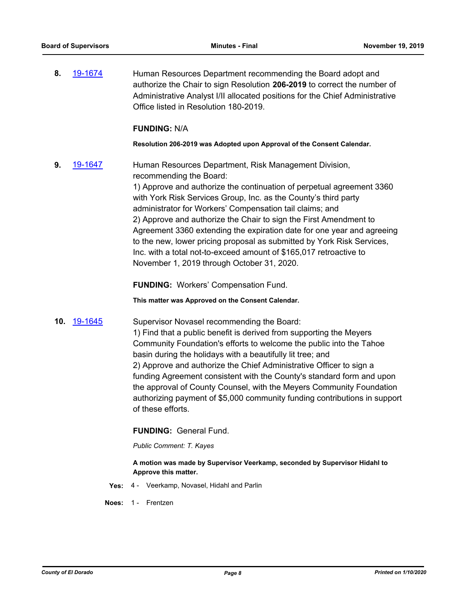**8.** [19-1674](http://eldorado.legistar.com/gateway.aspx?m=l&id=/matter.aspx?key=26998) Human Resources Department recommending the Board adopt and authorize the Chair to sign Resolution **206-2019** to correct the number of Administrative Analyst I/II allocated positions for the Chief Administrative Office listed in Resolution 180-2019.

### **FUNDING:** N/A

**Resolution 206-2019 was Adopted upon Approval of the Consent Calendar.**

**9.** [19-1647](http://eldorado.legistar.com/gateway.aspx?m=l&id=/matter.aspx?key=26971) Human Resources Department, Risk Management Division, recommending the Board:

> 1) Approve and authorize the continuation of perpetual agreement 3360 with York Risk Services Group, Inc. as the County's third party administrator for Workers' Compensation tail claims; and 2) Approve and authorize the Chair to sign the First Amendment to Agreement 3360 extending the expiration date for one year and agreeing to the new, lower pricing proposal as submitted by York Risk Services, Inc. with a total not-to-exceed amount of \$165,017 retroactive to November 1, 2019 through October 31, 2020.

**FUNDING:** Workers' Compensation Fund.

**This matter was Approved on the Consent Calendar.**

**10.** [19-1645](http://eldorado.legistar.com/gateway.aspx?m=l&id=/matter.aspx?key=26969) Supervisor Novasel recommending the Board:

1) Find that a public benefit is derived from supporting the Meyers Community Foundation's efforts to welcome the public into the Tahoe basin during the holidays with a beautifully lit tree; and 2) Approve and authorize the Chief Administrative Officer to sign a funding Agreement consistent with the County's standard form and upon the approval of County Counsel, with the Meyers Community Foundation authorizing payment of \$5,000 community funding contributions in support of these efforts.

#### **FUNDING:** General Fund.

*Public Comment: T. Kayes*

#### **A motion was made by Supervisor Veerkamp, seconded by Supervisor Hidahl to Approve this matter.**

- **Yes:** 4 Veerkamp, Novasel, Hidahl and Parlin
- **Noes:** 1 Frentzen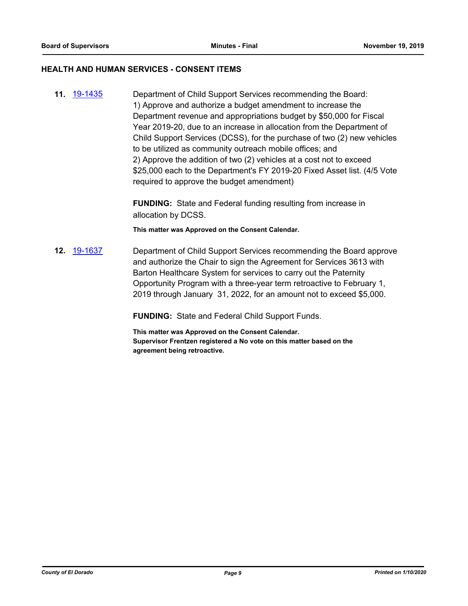#### **HEALTH AND HUMAN SERVICES - CONSENT ITEMS**

**11.** [19-1435](http://eldorado.legistar.com/gateway.aspx?m=l&id=/matter.aspx?key=26756) Department of Child Support Services recommending the Board: 1) Approve and authorize a budget amendment to increase the Department revenue and appropriations budget by \$50,000 for Fiscal Year 2019-20, due to an increase in allocation from the Department of Child Support Services (DCSS), for the purchase of two (2) new vehicles to be utilized as community outreach mobile offices; and 2) Approve the addition of two (2) vehicles at a cost not to exceed \$25,000 each to the Department's FY 2019-20 Fixed Asset list. (4/5 Vote required to approve the budget amendment)

> **FUNDING:** State and Federal funding resulting from increase in allocation by DCSS.

**This matter was Approved on the Consent Calendar.**

**12.** [19-1637](http://eldorado.legistar.com/gateway.aspx?m=l&id=/matter.aspx?key=26961) Department of Child Support Services recommending the Board approve and authorize the Chair to sign the Agreement for Services 3613 with Barton Healthcare System for services to carry out the Paternity Opportunity Program with a three-year term retroactive to February 1, 2019 through January 31, 2022, for an amount not to exceed \$5,000.

**FUNDING:** State and Federal Child Support Funds.

**This matter was Approved on the Consent Calendar. Supervisor Frentzen registered a No vote on this matter based on the agreement being retroactive.**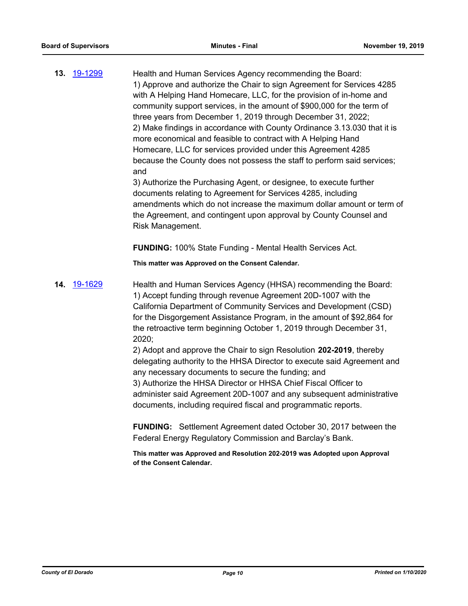**13.** [19-1299](http://eldorado.legistar.com/gateway.aspx?m=l&id=/matter.aspx?key=26621) Health and Human Services Agency recommending the Board: 1) Approve and authorize the Chair to sign Agreement for Services 4285 with A Helping Hand Homecare, LLC, for the provision of in-home and community support services, in the amount of \$900,000 for the term of three years from December 1, 2019 through December 31, 2022; 2) Make findings in accordance with County Ordinance 3.13.030 that it is more economical and feasible to contract with A Helping Hand Homecare, LLC for services provided under this Agreement 4285 because the County does not possess the staff to perform said services; and 3) Authorize the Purchasing Agent, or designee, to execute further documents relating to Agreement for Services 4285, including amendments which do not increase the maximum dollar amount or term of the Agreement, and contingent upon approval by County Counsel and Risk Management.

**FUNDING:** 100% State Funding - Mental Health Services Act.

**This matter was Approved on the Consent Calendar.**

**14.** [19-1629](http://eldorado.legistar.com/gateway.aspx?m=l&id=/matter.aspx?key=26953) Health and Human Services Agency (HHSA) recommending the Board: 1) Accept funding through revenue Agreement 20D-1007 with the California Department of Community Services and Development (CSD) for the Disgorgement Assistance Program, in the amount of \$92,864 for the retroactive term beginning October 1, 2019 through December 31, 2020;

2) Adopt and approve the Chair to sign Resolution **202-2019**, thereby delegating authority to the HHSA Director to execute said Agreement and any necessary documents to secure the funding; and 3) Authorize the HHSA Director or HHSA Chief Fiscal Officer to administer said Agreement 20D-1007 and any subsequent administrative

documents, including required fiscal and programmatic reports.

**FUNDING:** Settlement Agreement dated October 30, 2017 between the Federal Energy Regulatory Commission and Barclay's Bank.

**This matter was Approved and Resolution 202-2019 was Adopted upon Approval of the Consent Calendar.**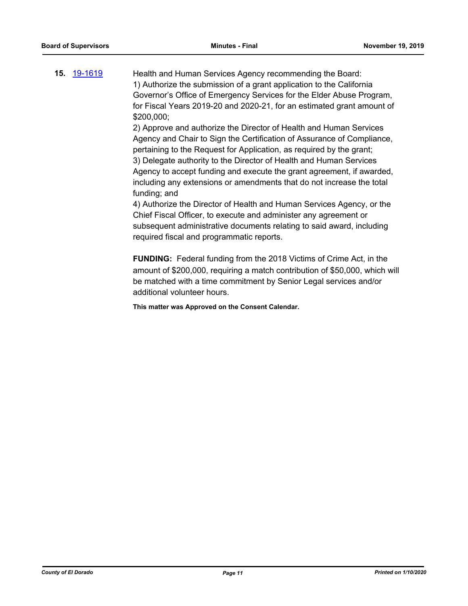**15.** [19-1619](http://eldorado.legistar.com/gateway.aspx?m=l&id=/matter.aspx?key=26943) Health and Human Services Agency recommending the Board: 1) Authorize the submission of a grant application to the California Governor's Office of Emergency Services for the Elder Abuse Program, for Fiscal Years 2019-20 and 2020-21, for an estimated grant amount of \$200,000;

> 2) Approve and authorize the Director of Health and Human Services Agency and Chair to Sign the Certification of Assurance of Compliance, pertaining to the Request for Application, as required by the grant; 3) Delegate authority to the Director of Health and Human Services Agency to accept funding and execute the grant agreement, if awarded, including any extensions or amendments that do not increase the total funding; and

> 4) Authorize the Director of Health and Human Services Agency, or the Chief Fiscal Officer, to execute and administer any agreement or subsequent administrative documents relating to said award, including required fiscal and programmatic reports.

**FUNDING:** Federal funding from the 2018 Victims of Crime Act, in the amount of \$200,000, requiring a match contribution of \$50,000, which will be matched with a time commitment by Senior Legal services and/or additional volunteer hours.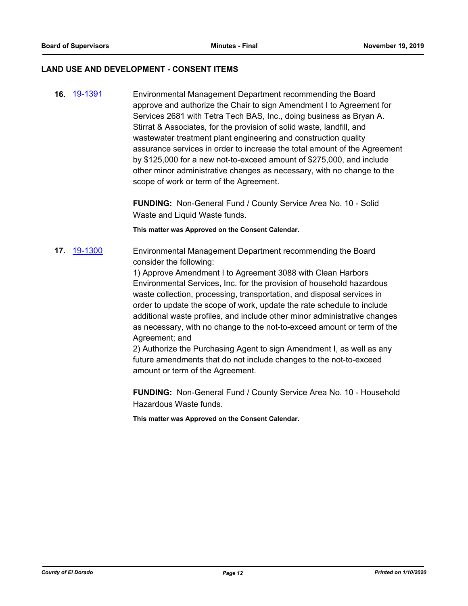#### **LAND USE AND DEVELOPMENT - CONSENT ITEMS**

**16.** [19-1391](http://eldorado.legistar.com/gateway.aspx?m=l&id=/matter.aspx?key=26712) Environmental Management Department recommending the Board approve and authorize the Chair to sign Amendment I to Agreement for Services 2681 with Tetra Tech BAS, Inc., doing business as Bryan A. Stirrat & Associates, for the provision of solid waste, landfill, and wastewater treatment plant engineering and construction quality assurance services in order to increase the total amount of the Agreement by \$125,000 for a new not-to-exceed amount of \$275,000, and include other minor administrative changes as necessary, with no change to the scope of work or term of the Agreement.

> **FUNDING:** Non-General Fund / County Service Area No. 10 - Solid Waste and Liquid Waste funds.

**This matter was Approved on the Consent Calendar.**

**17.** [19-1300](http://eldorado.legistar.com/gateway.aspx?m=l&id=/matter.aspx?key=26622) Environmental Management Department recommending the Board consider the following:

> 1) Approve Amendment I to Agreement 3088 with Clean Harbors Environmental Services, Inc. for the provision of household hazardous waste collection, processing, transportation, and disposal services in order to update the scope of work, update the rate schedule to include additional waste profiles, and include other minor administrative changes as necessary, with no change to the not-to-exceed amount or term of the Agreement; and

2) Authorize the Purchasing Agent to sign Amendment I, as well as any future amendments that do not include changes to the not-to-exceed amount or term of the Agreement.

**FUNDING:** Non-General Fund / County Service Area No. 10 - Household Hazardous Waste funds.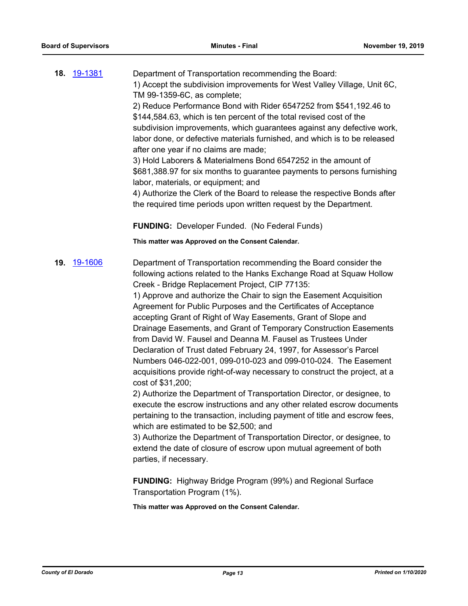|     | <b>18. 19-1381</b> | Department of Transportation recommending the Board:<br>1) Accept the subdivision improvements for West Valley Village, Unit 6C,<br>TM 99-1359-6C, as complete;<br>2) Reduce Performance Bond with Rider 6547252 from \$541,192.46 to<br>\$144,584.63, which is ten percent of the total revised cost of the<br>subdivision improvements, which guarantees against any defective work,<br>labor done, or defective materials furnished, and which is to be released<br>after one year if no claims are made;<br>3) Hold Laborers & Materialmens Bond 6547252 in the amount of<br>\$681,388.97 for six months to guarantee payments to persons furnishing<br>labor, materials, or equipment; and<br>4) Authorize the Clerk of the Board to release the respective Bonds after<br>the required time periods upon written request by the Department.                                                                                                                                                                                                                                                                                                                                                                                              |
|-----|--------------------|------------------------------------------------------------------------------------------------------------------------------------------------------------------------------------------------------------------------------------------------------------------------------------------------------------------------------------------------------------------------------------------------------------------------------------------------------------------------------------------------------------------------------------------------------------------------------------------------------------------------------------------------------------------------------------------------------------------------------------------------------------------------------------------------------------------------------------------------------------------------------------------------------------------------------------------------------------------------------------------------------------------------------------------------------------------------------------------------------------------------------------------------------------------------------------------------------------------------------------------------|
|     |                    | <b>FUNDING: Developer Funded. (No Federal Funds)</b>                                                                                                                                                                                                                                                                                                                                                                                                                                                                                                                                                                                                                                                                                                                                                                                                                                                                                                                                                                                                                                                                                                                                                                                           |
|     |                    | This matter was Approved on the Consent Calendar.                                                                                                                                                                                                                                                                                                                                                                                                                                                                                                                                                                                                                                                                                                                                                                                                                                                                                                                                                                                                                                                                                                                                                                                              |
| 19. | 19-1606            | Department of Transportation recommending the Board consider the<br>following actions related to the Hanks Exchange Road at Squaw Hollow<br>Creek - Bridge Replacement Project, CIP 77135:<br>1) Approve and authorize the Chair to sign the Easement Acquisition<br>Agreement for Public Purposes and the Certificates of Acceptance<br>accepting Grant of Right of Way Easements, Grant of Slope and<br>Drainage Easements, and Grant of Temporary Construction Easements<br>from David W. Fausel and Deanna M. Fausel as Trustees Under<br>Declaration of Trust dated February 24, 1997, for Assessor's Parcel<br>Numbers 046-022-001, 099-010-023 and 099-010-024. The Easement<br>acquisitions provide right-of-way necessary to construct the project, at a<br>cost of \$31,200;<br>2) Authorize the Department of Transportation Director, or designee, to<br>execute the escrow instructions and any other related escrow documents<br>pertaining to the transaction, including payment of title and escrow fees,<br>which are estimated to be \$2,500; and<br>3) Authorize the Department of Transportation Director, or designee, to<br>extend the date of closure of escrow upon mutual agreement of both<br>parties, if necessary. |

**FUNDING:** Highway Bridge Program (99%) and Regional Surface Transportation Program (1%).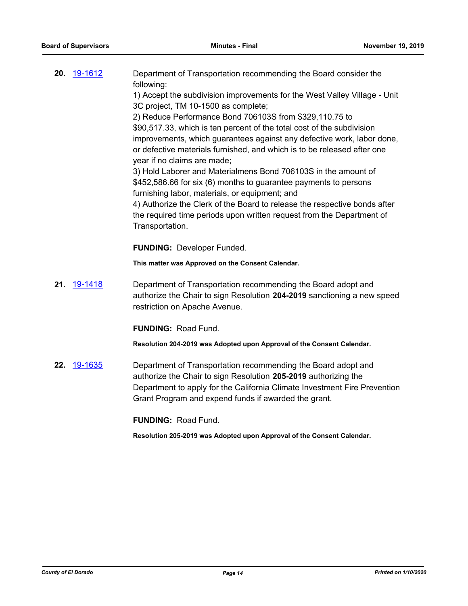| 20. 19-1612 | Department of Transportation recommending the Board consider the          |
|-------------|---------------------------------------------------------------------------|
|             | following:                                                                |
|             | 1) Accept the subdivision improvements for the West Valley Village - Unit |
|             | 3C project, TM 10-1500 as complete;                                       |

2) Reduce Performance Bond 706103S from \$329,110.75 to \$90,517.33, which is ten percent of the total cost of the subdivision improvements, which guarantees against any defective work, labor done, or defective materials furnished, and which is to be released after one year if no claims are made;

3) Hold Laborer and Materialmens Bond 706103S in the amount of \$452,586.66 for six (6) months to guarantee payments to persons furnishing labor, materials, or equipment; and

4) Authorize the Clerk of the Board to release the respective bonds after the required time periods upon written request from the Department of Transportation.

**FUNDING:** Developer Funded.

**This matter was Approved on the Consent Calendar.**

**21.** [19-1418](http://eldorado.legistar.com/gateway.aspx?m=l&id=/matter.aspx?key=26739) Department of Transportation recommending the Board adopt and authorize the Chair to sign Resolution **204-2019** sanctioning a new speed restriction on Apache Avenue.

**FUNDING:** Road Fund.

**Resolution 204-2019 was Adopted upon Approval of the Consent Calendar.**

**22.** [19-1635](http://eldorado.legistar.com/gateway.aspx?m=l&id=/matter.aspx?key=26959) Department of Transportation recommending the Board adopt and authorize the Chair to sign Resolution **205-2019** authorizing the Department to apply for the California Climate Investment Fire Prevention Grant Program and expend funds if awarded the grant.

**FUNDING:** Road Fund.

**Resolution 205-2019 was Adopted upon Approval of the Consent Calendar.**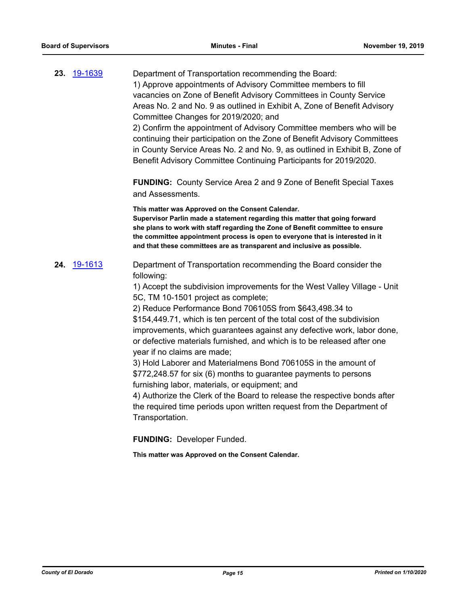| 23. 19-1639        | Department of Transportation recommending the Board:<br>1) Approve appointments of Advisory Committee members to fill<br>vacancies on Zone of Benefit Advisory Committees in County Service<br>Areas No. 2 and No. 9 as outlined in Exhibit A, Zone of Benefit Advisory<br>Committee Changes for 2019/2020; and<br>2) Confirm the appointment of Advisory Committee members who will be<br>continuing their participation on the Zone of Benefit Advisory Committees<br>in County Service Areas No. 2 and No. 9, as outlined in Exhibit B, Zone of<br>Benefit Advisory Committee Continuing Participants for 2019/2020.                                                                                                                                                                                                                                                                                                                                                                 |
|--------------------|-----------------------------------------------------------------------------------------------------------------------------------------------------------------------------------------------------------------------------------------------------------------------------------------------------------------------------------------------------------------------------------------------------------------------------------------------------------------------------------------------------------------------------------------------------------------------------------------------------------------------------------------------------------------------------------------------------------------------------------------------------------------------------------------------------------------------------------------------------------------------------------------------------------------------------------------------------------------------------------------|
|                    | <b>FUNDING:</b> County Service Area 2 and 9 Zone of Benefit Special Taxes<br>and Assessments.                                                                                                                                                                                                                                                                                                                                                                                                                                                                                                                                                                                                                                                                                                                                                                                                                                                                                           |
|                    | This matter was Approved on the Consent Calendar.<br>Supervisor Parlin made a statement regarding this matter that going forward<br>she plans to work with staff regarding the Zone of Benefit committee to ensure<br>the committee appointment process is open to everyone that is interested in it<br>and that these committees are as transparent and inclusive as possible.                                                                                                                                                                                                                                                                                                                                                                                                                                                                                                                                                                                                         |
| <b>24.</b> 19-1613 | Department of Transportation recommending the Board consider the<br>following:<br>1) Accept the subdivision improvements for the West Valley Village - Unit<br>5C, TM 10-1501 project as complete;<br>2) Reduce Performance Bond 706105S from \$643,498.34 to<br>\$154,449.71, which is ten percent of the total cost of the subdivision<br>improvements, which guarantees against any defective work, labor done,<br>or defective materials furnished, and which is to be released after one<br>year if no claims are made;<br>3) Hold Laborer and Materialmens Bond 706105S in the amount of<br>\$772,248.57 for six (6) months to guarantee payments to persons<br>furnishing labor, materials, or equipment; and<br>4) Authorize the Clerk of the Board to release the respective bonds after<br>the required time periods upon written request from the Department of<br>Transportation.<br><b>FUNDING: Developer Funded.</b><br>This matter was Approved on the Consent Calendar. |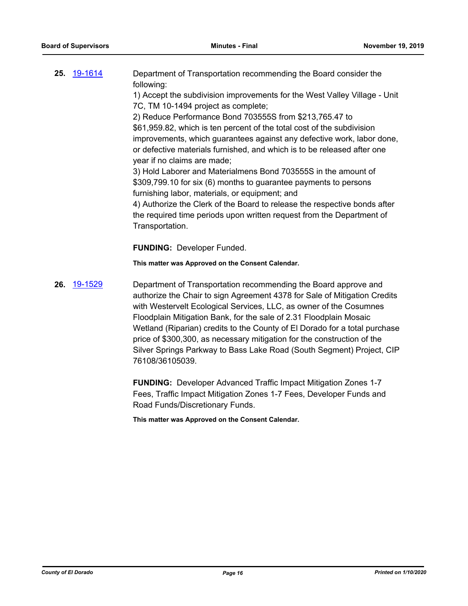| <b>25.</b> 19-1614 | Department of Transportation recommending the Board consider the          |
|--------------------|---------------------------------------------------------------------------|
|                    | following:                                                                |
|                    | 1) Accept the subdivision improvements for the West Valley Village - Unit |

7C, TM 10-1494 project as complete; 2) Reduce Performance Bond 703555S from \$213,765.47 to \$61,959.82, which is ten percent of the total cost of the subdivision improvements, which guarantees against any defective work, labor done, or defective materials furnished, and which is to be released after one year if no claims are made;

3) Hold Laborer and Materialmens Bond 703555S in the amount of \$309,799.10 for six (6) months to guarantee payments to persons furnishing labor, materials, or equipment; and

4) Authorize the Clerk of the Board to release the respective bonds after the required time periods upon written request from the Department of Transportation.

**FUNDING:** Developer Funded.

**This matter was Approved on the Consent Calendar.**

**26.** [19-1529](http://eldorado.legistar.com/gateway.aspx?m=l&id=/matter.aspx?key=26851) Department of Transportation recommending the Board approve and authorize the Chair to sign Agreement 4378 for Sale of Mitigation Credits with Westervelt Ecological Services, LLC, as owner of the Cosumnes Floodplain Mitigation Bank, for the sale of 2.31 Floodplain Mosaic Wetland (Riparian) credits to the County of El Dorado for a total purchase price of \$300,300, as necessary mitigation for the construction of the Silver Springs Parkway to Bass Lake Road (South Segment) Project, CIP 76108/36105039.

> **FUNDING:** Developer Advanced Traffic Impact Mitigation Zones 1-7 Fees, Traffic Impact Mitigation Zones 1-7 Fees, Developer Funds and Road Funds/Discretionary Funds.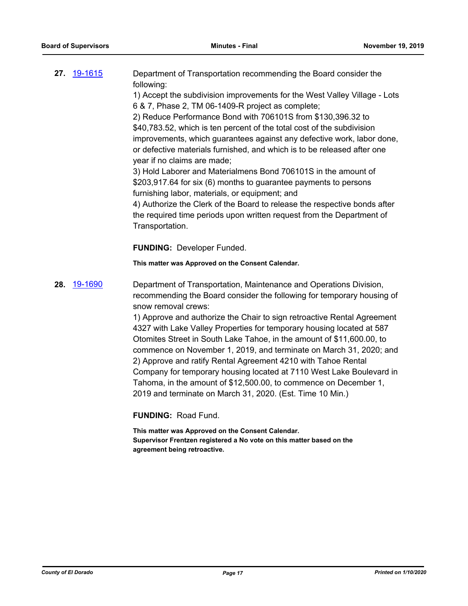| <b>27.</b> 19-1615 | Department of Transportation recommending the Board consider the          |
|--------------------|---------------------------------------------------------------------------|
|                    | following:                                                                |
|                    | 1) Accept the subdivision improvements for the West Valley Village - Lots |
|                    | 6 & 7, Phase 2, TM 06-1409-R project as complete;                         |

2) Reduce Performance Bond with 706101S from \$130,396.32 to \$40,783.52, which is ten percent of the total cost of the subdivision improvements, which guarantees against any defective work, labor done, or defective materials furnished, and which is to be released after one year if no claims are made;

3) Hold Laborer and Materialmens Bond 706101S in the amount of \$203,917.64 for six (6) months to guarantee payments to persons furnishing labor, materials, or equipment; and

4) Authorize the Clerk of the Board to release the respective bonds after the required time periods upon written request from the Department of Transportation.

**FUNDING:** Developer Funded.

**This matter was Approved on the Consent Calendar.**

**28.** [19-1690](http://eldorado.legistar.com/gateway.aspx?m=l&id=/matter.aspx?key=27014) Department of Transportation, Maintenance and Operations Division, recommending the Board consider the following for temporary housing of snow removal crews:

> 1) Approve and authorize the Chair to sign retroactive Rental Agreement 4327 with Lake Valley Properties for temporary housing located at 587 Otomites Street in South Lake Tahoe, in the amount of \$11,600.00, to commence on November 1, 2019, and terminate on March 31, 2020; and 2) Approve and ratify Rental Agreement 4210 with Tahoe Rental Company for temporary housing located at 7110 West Lake Boulevard in Tahoma, in the amount of \$12,500.00, to commence on December 1, 2019 and terminate on March 31, 2020. (Est. Time 10 Min.)

**FUNDING:** Road Fund.

**This matter was Approved on the Consent Calendar. Supervisor Frentzen registered a No vote on this matter based on the agreement being retroactive.**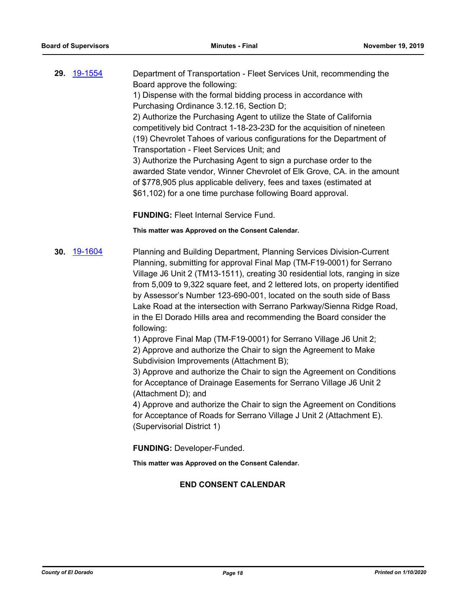**29.** [19-1554](http://eldorado.legistar.com/gateway.aspx?m=l&id=/matter.aspx?key=26878) Department of Transportation - Fleet Services Unit, recommending the Board approve the following: 1) Dispense with the formal bidding process in accordance with Purchasing Ordinance 3.12.16, Section D; 2) Authorize the Purchasing Agent to utilize the State of California competitively bid Contract 1-18-23-23D for the acquisition of nineteen (19) Chevrolet Tahoes of various configurations for the Department of Transportation - Fleet Services Unit; and 3) Authorize the Purchasing Agent to sign a purchase order to the awarded State vendor, Winner Chevrolet of Elk Grove, CA. in the amount of \$778,905 plus applicable delivery, fees and taxes (estimated at \$61,102) for a one time purchase following Board approval.

**FUNDING:** Fleet Internal Service Fund.

#### **This matter was Approved on the Consent Calendar.**

**30.** [19-1604](http://eldorado.legistar.com/gateway.aspx?m=l&id=/matter.aspx?key=26928) Planning and Building Department, Planning Services Division-Current Planning, submitting for approval Final Map (TM-F19-0001) for Serrano Village J6 Unit 2 (TM13-1511), creating 30 residential lots, ranging in size from 5,009 to 9,322 square feet, and 2 lettered lots, on property identified by Assessor's Number 123-690-001, located on the south side of Bass Lake Road at the intersection with Serrano Parkway/Sienna Ridge Road, in the El Dorado Hills area and recommending the Board consider the following:

1) Approve Final Map (TM-F19-0001) for Serrano Village J6 Unit 2; 2) Approve and authorize the Chair to sign the Agreement to Make Subdivision Improvements (Attachment B);

3) Approve and authorize the Chair to sign the Agreement on Conditions for Acceptance of Drainage Easements for Serrano Village J6 Unit 2 (Attachment D); and

4) Approve and authorize the Chair to sign the Agreement on Conditions for Acceptance of Roads for Serrano Village J Unit 2 (Attachment E). (Supervisorial District 1)

**FUNDING:** Developer-Funded.

**This matter was Approved on the Consent Calendar.**

# **END CONSENT CALENDAR**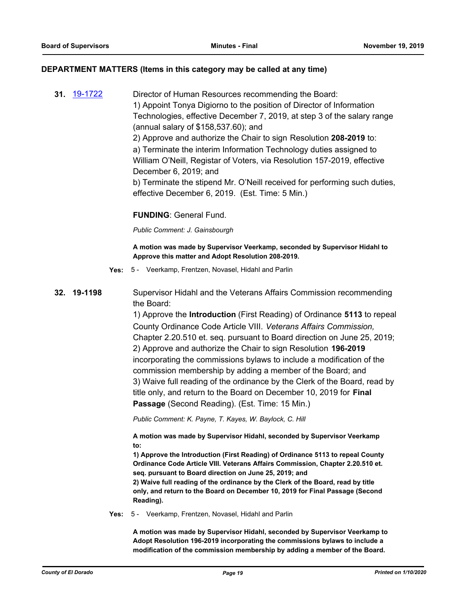### **DEPARTMENT MATTERS (Items in this category may be called at any time)**

**31.** [19-1722](http://eldorado.legistar.com/gateway.aspx?m=l&id=/matter.aspx?key=27046) Director of Human Resources recommending the Board: 1) Appoint Tonya Digiorno to the position of Director of Information Technologies, effective December 7, 2019, at step 3 of the salary range (annual salary of \$158,537.60); and 2) Approve and authorize the Chair to sign Resolution **208-2019** to: a) Terminate the interim Information Technology duties assigned to William O'Neill, Registar of Voters, via Resolution 157-2019, effective December 6, 2019; and b) Terminate the stipend Mr. O'Neill received for performing such duties, effective December 6, 2019. (Est. Time: 5 Min.)

# **FUNDING**: General Fund.

*Public Comment: J. Gainsbourgh*

#### **A motion was made by Supervisor Veerkamp, seconded by Supervisor Hidahl to Approve this matter and Adopt Resolution 208-2019.**

**Yes:** 5 - Veerkamp, Frentzen, Novasel, Hidahl and Parlin

# **32. 19-1198** Supervisor Hidahl and the Veterans Affairs Commission recommending the Board:

1) Approve the **Introduction** (First Reading) of Ordinance **5113** to repeal County Ordinance Code Article VIII. *Veterans Affairs Commission,*  Chapter 2.20.510 et. seq. pursuant to Board direction on June 25, 2019; 2) Approve and authorize the Chair to sign Resolution **196-2019** incorporating the commissions bylaws to include a modification of the commission membership by adding a member of the Board; and 3) Waive full reading of the ordinance by the Clerk of the Board, read by title only, and return to the Board on December 10, 2019 for **Final Passage** (Second Reading). (Est. Time: 15 Min.)

*Public Comment: K. Payne, T. Kayes, W. Baylock, C. Hill*

**A motion was made by Supervisor Hidahl, seconded by Supervisor Veerkamp to:**

**1) Approve the Introduction (First Reading) of Ordinance 5113 to repeal County Ordinance Code Article VIII. Veterans Affairs Commission, Chapter 2.20.510 et. seq. pursuant to Board direction on June 25, 2019; and**

**2) Waive full reading of the ordinance by the Clerk of the Board, read by title only, and return to the Board on December 10, 2019 for Final Passage (Second Reading).**

**Yes:** 5 - Veerkamp, Frentzen, Novasel, Hidahl and Parlin

**A motion was made by Supervisor Hidahl, seconded by Supervisor Veerkamp to Adopt Resolution 196-2019 incorporating the commissions bylaws to include a modification of the commission membership by adding a member of the Board.**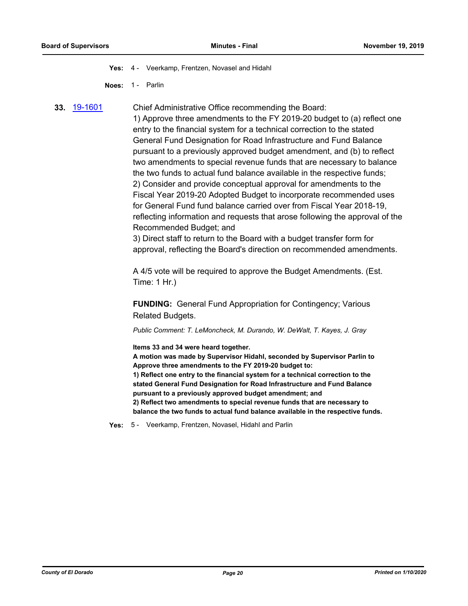**Yes:** 4 - Veerkamp, Frentzen, Novasel and Hidahl

**Noes:** 1 - Parlin

**33.** [19-1601](http://eldorado.legistar.com/gateway.aspx?m=l&id=/matter.aspx?key=26925) Chief Administrative Office recommending the Board: 1) Approve three amendments to the FY 2019-20 budget to (a) reflect one entry to the financial system for a technical correction to the stated General Fund Designation for Road Infrastructure and Fund Balance pursuant to a previously approved budget amendment, and (b) to reflect two amendments to special revenue funds that are necessary to balance the two funds to actual fund balance available in the respective funds; 2) Consider and provide conceptual approval for amendments to the Fiscal Year 2019-20 Adopted Budget to incorporate recommended uses for General Fund fund balance carried over from Fiscal Year 2018-19, reflecting information and requests that arose following the approval of the Recommended Budget; and

> 3) Direct staff to return to the Board with a budget transfer form for approval, reflecting the Board's direction on recommended amendments.

A 4/5 vote will be required to approve the Budget Amendments. (Est. Time: 1 Hr.)

**FUNDING:** General Fund Appropriation for Contingency; Various Related Budgets.

*Public Comment: T. LeMoncheck, M. Durando, W. DeWalt, T. Kayes, J. Gray*

**Items 33 and 34 were heard together.**

**A motion was made by Supervisor Hidahl, seconded by Supervisor Parlin to Approve three amendments to the FY 2019-20 budget to: 1) Reflect one entry to the financial system for a technical correction to the stated General Fund Designation for Road Infrastructure and Fund Balance pursuant to a previously approved budget amendment; and 2) Reflect two amendments to special revenue funds that are necessary to balance the two funds to actual fund balance available in the respective funds.**

**Yes:** 5 - Veerkamp, Frentzen, Novasel, Hidahl and Parlin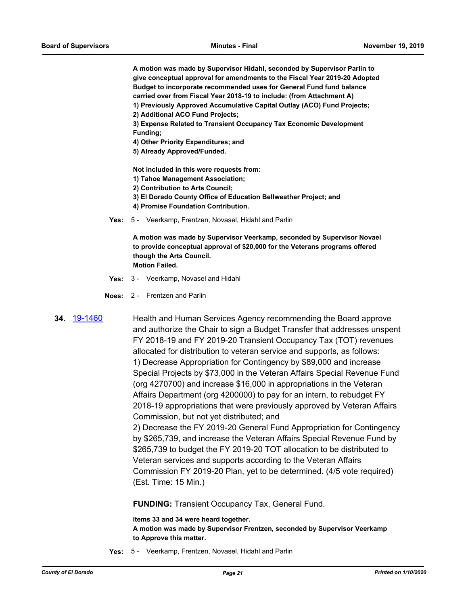**A motion was made by Supervisor Hidahl, seconded by Supervisor Parlin to give conceptual approval for amendments to the Fiscal Year 2019-20 Adopted Budget to incorporate recommended uses for General Fund fund balance carried over from Fiscal Year 2018-19 to include: (from Attachment A)**

- **1) Previously Approved Accumulative Capital Outlay (ACO) Fund Projects;**
- **2) Additional ACO Fund Projects;**
- **3) Expense Related to Transient Occupancy Tax Economic Development Funding;**
- **4) Other Priority Expenditures; and**
- **5) Already Approved/Funded.**

**Not included in this were requests from:**

- **1) Tahoe Management Association;**
- **2) Contribution to Arts Council;**
- **3) El Dorado County Office of Education Bellweather Project; and**
- **4) Promise Foundation Contribution.**
- **Yes:** 5 Veerkamp, Frentzen, Novasel, Hidahl and Parlin

**A motion was made by Supervisor Veerkamp, seconded by Supervisor Novael to provide conceptual approval of \$20,000 for the Veterans programs offered though the Arts Council. Motion Failed.**

- **Yes:** 3 Veerkamp, Novasel and Hidahl
- **Noes:** 2 Frentzen and Parlin

**34.** [19-1460](http://eldorado.legistar.com/gateway.aspx?m=l&id=/matter.aspx?key=26781) Health and Human Services Agency recommending the Board approve and authorize the Chair to sign a Budget Transfer that addresses unspent FY 2018-19 and FY 2019-20 Transient Occupancy Tax (TOT) revenues allocated for distribution to veteran service and supports, as follows: 1) Decrease Appropriation for Contingency by \$89,000 and increase Special Projects by \$73,000 in the Veteran Affairs Special Revenue Fund (org 4270700) and increase \$16,000 in appropriations in the Veteran Affairs Department (org 4200000) to pay for an intern, to rebudget FY 2018-19 appropriations that were previously approved by Veteran Affairs Commission, but not yet distributed; and

2) Decrease the FY 2019-20 General Fund Appropriation for Contingency by \$265,739, and increase the Veteran Affairs Special Revenue Fund by \$265,739 to budget the FY 2019-20 TOT allocation to be distributed to Veteran services and supports according to the Veteran Affairs Commission FY 2019-20 Plan, yet to be determined. (4/5 vote required) (Est. Time: 15 Min.)

**FUNDING:** Transient Occupancy Tax, General Fund.

**Items 33 and 34 were heard together.**

**A motion was made by Supervisor Frentzen, seconded by Supervisor Veerkamp to Approve this matter.**

**Yes:** 5 - Veerkamp, Frentzen, Novasel, Hidahl and Parlin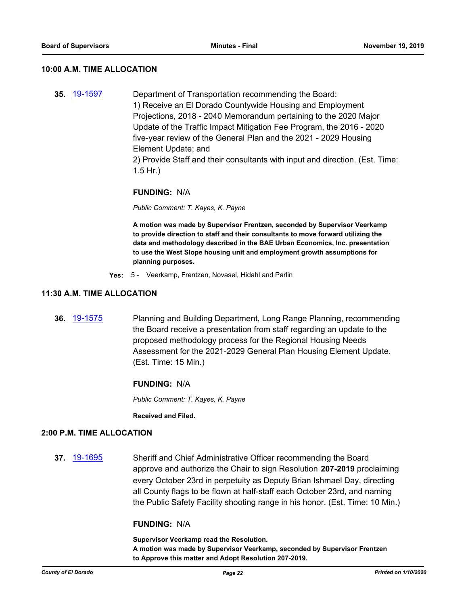#### **10:00 A.M. TIME ALLOCATION**

**35.** [19-1597](http://eldorado.legistar.com/gateway.aspx?m=l&id=/matter.aspx?key=26921) Department of Transportation recommending the Board: 1) Receive an El Dorado Countywide Housing and Employment Projections, 2018 - 2040 Memorandum pertaining to the 2020 Major Update of the Traffic Impact Mitigation Fee Program, the 2016 - 2020 five-year review of the General Plan and the 2021 - 2029 Housing Element Update; and

2) Provide Staff and their consultants with input and direction. (Est. Time: 1.5 Hr.)

#### **FUNDING:** N/A

*Public Comment: T. Kayes, K. Payne*

**A motion was made by Supervisor Frentzen, seconded by Supervisor Veerkamp to provide direction to staff and their consultants to move forward utilizing the data and methodology described in the BAE Urban Economics, Inc. presentation to use the West Slope housing unit and employment growth assumptions for planning purposes.**

**Yes:** 5 - Veerkamp, Frentzen, Novasel, Hidahl and Parlin

#### **11:30 A.M. TIME ALLOCATION**

**36.** [19-1575](http://eldorado.legistar.com/gateway.aspx?m=l&id=/matter.aspx?key=26899) Planning and Building Department, Long Range Planning, recommending the Board receive a presentation from staff regarding an update to the proposed methodology process for the Regional Housing Needs Assessment for the 2021-2029 General Plan Housing Element Update. (Est. Time: 15 Min.)

#### **FUNDING:** N/A

*Public Comment: T. Kayes, K. Payne*

**Received and Filed.**

#### **2:00 P.M. TIME ALLOCATION**

**37.** [19-1695](http://eldorado.legistar.com/gateway.aspx?m=l&id=/matter.aspx?key=27020) Sheriff and Chief Administrative Officer recommending the Board approve and authorize the Chair to sign Resolution **207-2019** proclaiming every October 23rd in perpetuity as Deputy Brian Ishmael Day, directing all County flags to be flown at half-staff each October 23rd, and naming the Public Safety Facility shooting range in his honor. (Est. Time: 10 Min.)

# **FUNDING:** N/A

**Supervisor Veerkamp read the Resolution.**

**A motion was made by Supervisor Veerkamp, seconded by Supervisor Frentzen to Approve this matter and Adopt Resolution 207-2019.**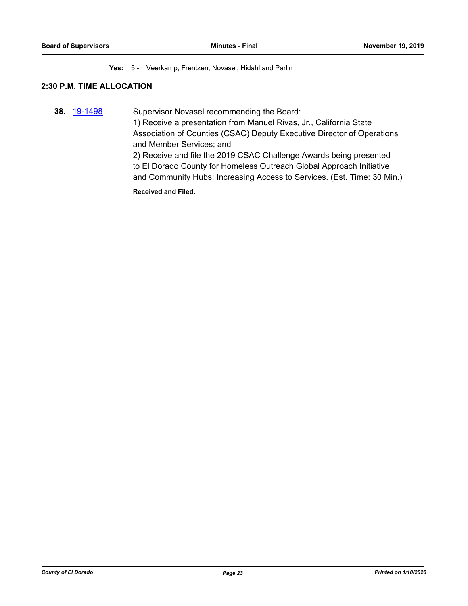#### **Yes:** 5 - Veerkamp, Frentzen, Novasel, Hidahl and Parlin

# **2:30 P.M. TIME ALLOCATION**

**38.** [19-1498](http://eldorado.legistar.com/gateway.aspx?m=l&id=/matter.aspx?key=26820) Supervisor Novasel recommending the Board: 1) Receive a presentation from Manuel Rivas, Jr., California State Association of Counties (CSAC) Deputy Executive Director of Operations and Member Services; and 2) Receive and file the 2019 CSAC Challenge Awards being presented to El Dorado County for Homeless Outreach Global Approach Initiative and Community Hubs: Increasing Access to Services. (Est. Time: 30 Min.)

**Received and Filed.**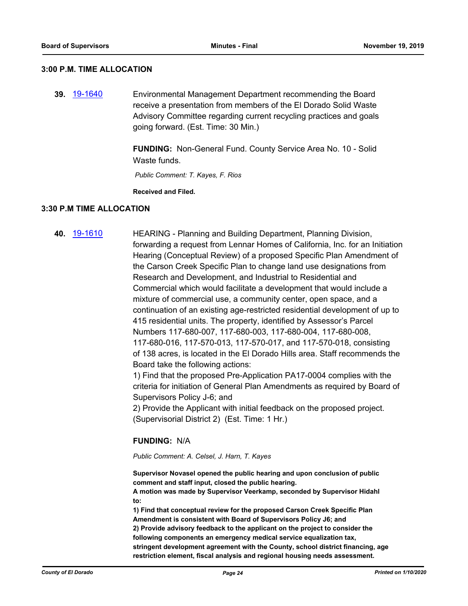#### **3:00 P.M. TIME ALLOCATION**

**39.** [19-1640](http://eldorado.legistar.com/gateway.aspx?m=l&id=/matter.aspx?key=26964) Environmental Management Department recommending the Board receive a presentation from members of the El Dorado Solid Waste Advisory Committee regarding current recycling practices and goals going forward. (Est. Time: 30 Min.)

> **FUNDING:** Non-General Fund. County Service Area No. 10 - Solid Waste funds

 *Public Comment: T. Kayes, F. Rios*

**Received and Filed.**

#### **3:30 P.M TIME ALLOCATION**

**40.** [19-1610](http://eldorado.legistar.com/gateway.aspx?m=l&id=/matter.aspx?key=26934) HEARING - Planning and Building Department, Planning Division, forwarding a request from Lennar Homes of California, Inc. for an Initiation Hearing (Conceptual Review) of a proposed Specific Plan Amendment of the Carson Creek Specific Plan to change land use designations from Research and Development, and Industrial to Residential and Commercial which would facilitate a development that would include a mixture of commercial use, a community center, open space, and a continuation of an existing age-restricted residential development of up to 415 residential units. The property, identified by Assessor's Parcel Numbers 117-680-007, 117-680-003, 117-680-004, 117-680-008, 117-680-016, 117-570-013, 117-570-017, and 117-570-018, consisting of 138 acres, is located in the El Dorado Hills area. Staff recommends the Board take the following actions:

1) Find that the proposed Pre-Application PA17-0004 complies with the criteria for initiation of General Plan Amendments as required by Board of Supervisors Policy J-6; and

2) Provide the Applicant with initial feedback on the proposed project. (Supervisorial District 2) (Est. Time: 1 Hr.)

#### **FUNDING:** N/A

*Public Comment: A. Celsel, J. Harn, T. Kayes*

**Supervisor Novasel opened the public hearing and upon conclusion of public comment and staff input, closed the public hearing.**

**A motion was made by Supervisor Veerkamp, seconded by Supervisor Hidahl to:**

**1) Find that conceptual review for the proposed Carson Creek Specific Plan Amendment is consistent with Board of Supervisors Policy J6; and 2) Provide advisory feedback to the applicant on the project to consider the following components an emergency medical service equalization tax, stringent development agreement with the County, school district financing, age restriction element, fiscal analysis and regional housing needs assessment.**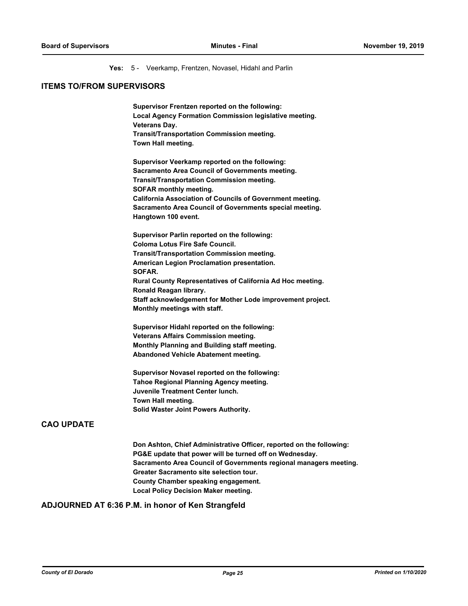**Yes:** 5 - Veerkamp, Frentzen, Novasel, Hidahl and Parlin

# **ITEMS TO/FROM SUPERVISORS**

**Supervisor Frentzen reported on the following: Local Agency Formation Commission legislative meeting. Veterans Day. Transit/Transportation Commission meeting. Town Hall meeting.**

**Supervisor Veerkamp reported on the following: Sacramento Area Council of Governments meeting. Transit/Transportation Commission meeting. SOFAR monthly meeting. California Association of Councils of Government meeting. Sacramento Area Council of Governments special meeting. Hangtown 100 event.**

**Supervisor Parlin reported on the following: Coloma Lotus Fire Safe Council. Transit/Transportation Commission meeting. American Legion Proclamation presentation. SOFAR. Rural County Representatives of California Ad Hoc meeting. Ronald Reagan library. Staff acknowledgement for Mother Lode improvement project. Monthly meetings with staff.**

**Supervisor Hidahl reported on the following: Veterans Affairs Commission meeting. Monthly Planning and Building staff meeting. Abandoned Vehicle Abatement meeting.**

**Supervisor Novasel reported on the following: Tahoe Regional Planning Agency meeting. Juvenile Treatment Center lunch. Town Hall meeting. Solid Waster Joint Powers Authority.**

### **CAO UPDATE**

**Don Ashton, Chief Administrative Officer, reported on the following: PG&E update that power will be turned off on Wednesday. Sacramento Area Council of Governments regional managers meeting. Greater Sacramento site selection tour. County Chamber speaking engagement. Local Policy Decision Maker meeting.**

#### **ADJOURNED AT 6:36 P.M. in honor of Ken Strangfeld**